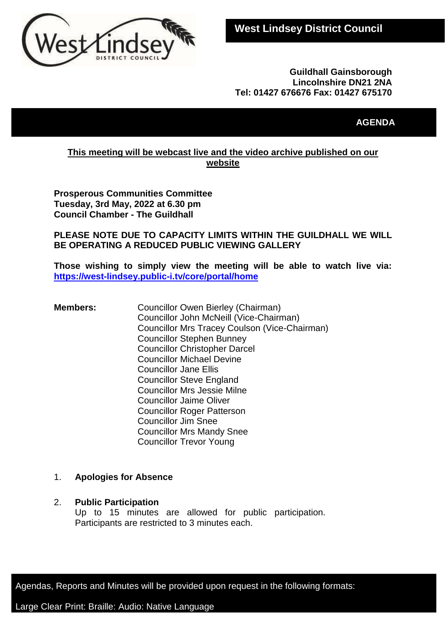

### **Guildhall Gainsborough Lincolnshire DN21 2NA Tel: 01427 676676 Fax: 01427 675170**

# **AGENDA**

## **This meeting will be webcast live and the video archive published on our website**

**Prosperous Communities Committee Tuesday, 3rd May, 2022 at 6.30 pm Council Chamber - The Guildhall**

**PLEASE NOTE DUE TO CAPACITY LIMITS WITHIN THE GUILDHALL WE WILL BE OPERATING A REDUCED PUBLIC VIEWING GALLERY** 

**Those wishing to simply view the meeting will be able to watch live via: <https://west-lindsey.public-i.tv/core/portal/home>**

**Members:** Councillor Owen Bierley (Chairman) Councillor John McNeill (Vice-Chairman) Councillor Mrs Tracey Coulson (Vice-Chairman) Councillor Stephen Bunney Councillor Christopher Darcel Councillor Michael Devine Councillor Jane Ellis Councillor Steve England Councillor Mrs Jessie Milne Councillor Jaime Oliver Councillor Roger Patterson Councillor Jim Snee Councillor Mrs Mandy Snee Councillor Trevor Young

### 1. **Apologies for Absence**

### 2. **Public Participation**

Up to 15 minutes are allowed for public participation. Participants are restricted to 3 minutes each.

Agendas, Reports and Minutes will be provided upon request in the following formats:

## Large Clear Print: Braille: Audio: Native Language